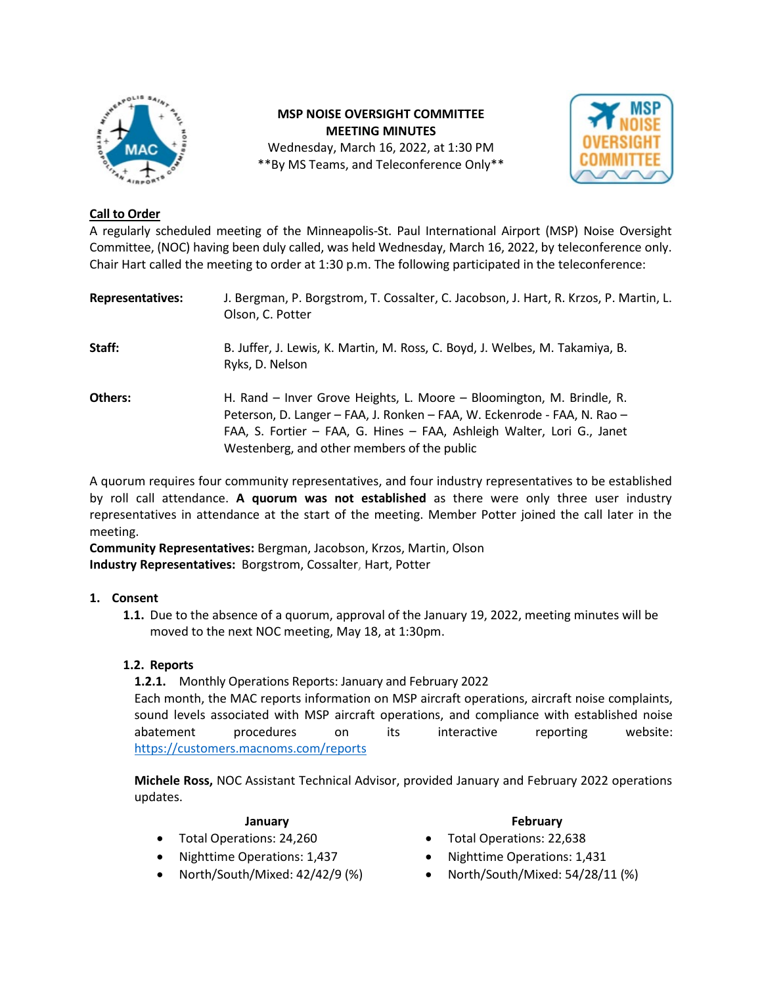

**MSP NOISE OVERSIGHT COMMITTEE MEETING MINUTES** Wednesday, March 16, 2022, at 1:30 PM \*\*By MS Teams, and Teleconference Only\*\*



### **Call to Order**

A regularly scheduled meeting of the Minneapolis-St. Paul International Airport (MSP) Noise Oversight Committee, (NOC) having been duly called, was held Wednesday, March 16, 2022, by teleconference only. Chair Hart called the meeting to order at 1:30 p.m. The following participated in the teleconference:

| <b>Representatives:</b> | J. Bergman, P. Borgstrom, T. Cossalter, C. Jacobson, J. Hart, R. Krzos, P. Martin, L.<br>Olson, C. Potter                                                                                                                                                                  |
|-------------------------|----------------------------------------------------------------------------------------------------------------------------------------------------------------------------------------------------------------------------------------------------------------------------|
| Staff:                  | B. Juffer, J. Lewis, K. Martin, M. Ross, C. Boyd, J. Welbes, M. Takamiya, B.<br>Ryks, D. Nelson                                                                                                                                                                            |
| Others:                 | H. Rand – Inver Grove Heights, L. Moore – Bloomington, M. Brindle, R.<br>Peterson, D. Langer - FAA, J. Ronken - FAA, W. Eckenrode - FAA, N. Rao -<br>FAA, S. Fortier - FAA, G. Hines - FAA, Ashleigh Walter, Lori G., Janet<br>Westenberg, and other members of the public |

A quorum requires four community representatives, and four industry representatives to be established by roll call attendance. **A quorum was not established** as there were only three user industry representatives in attendance at the start of the meeting. Member Potter joined the call later in the meeting.

**Community Representatives:** Bergman, Jacobson, Krzos, Martin, Olson **Industry Representatives:** Borgstrom, Cossalter, Hart, Potter

### **1. Consent**

**1.1.** Due to the absence of a quorum, approval of the January 19, 2022, meeting minutes will be moved to the next NOC meeting, May 18, at 1:30pm.

### **1.2. Reports**

**1.2.1.** Monthly Operations Reports: January and February 2022 Each month, the MAC reports information on MSP aircraft operations, aircraft noise complaints, sound levels associated with MSP aircraft operations, and compliance with established noise abatement procedures on its interactive reporting website: <https://customers.macnoms.com/reports>

**Michele Ross,** NOC Assistant Technical Advisor, provided January and February 2022 operations updates.

- Total Operations: 24,260 Total Operations: 22,638
- Nighttime Operations: 1,437 Nighttime Operations: 1,431
- 

### **January February**

- 
- 
- North/South/Mixed: 42/42/9 (%) North/South/Mixed: 54/28/11 (%)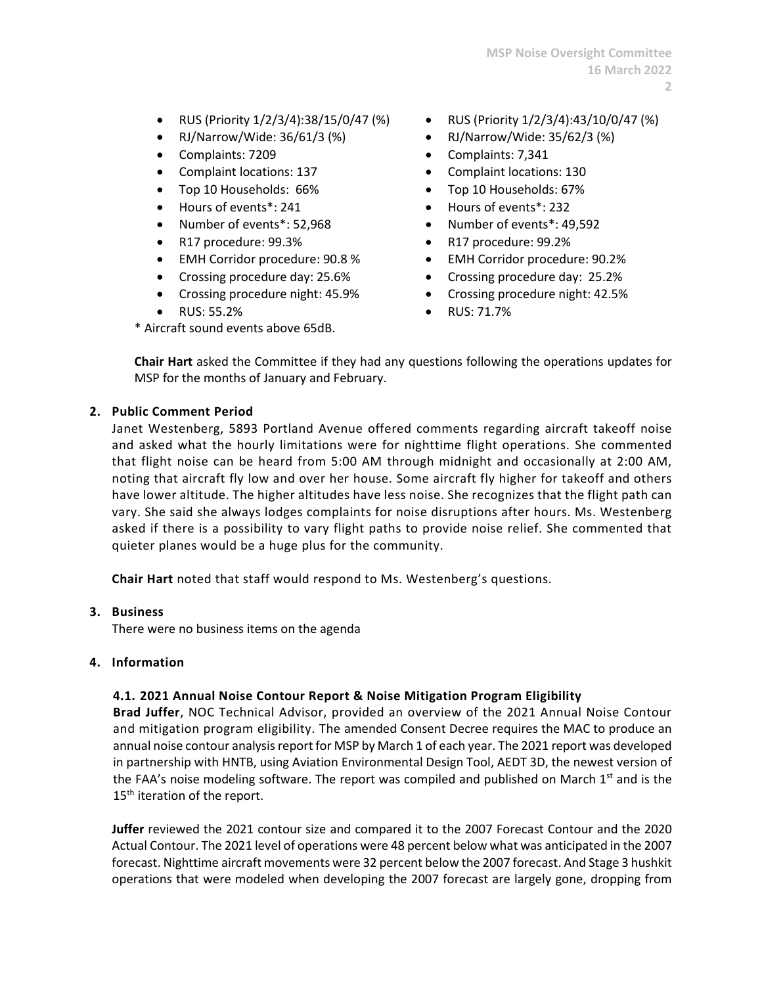- RUS (Priority 1/2/3/4):38/15/0/47 (%) RUS (Priority 1/2/3/4):43/10/0/47 (%)
- RJ/Narrow/Wide: 36/61/3 (%) RJ/Narrow/Wide: 35/62/3 (%)
- 
- 
- Top 10 Households: 66% Top 10 Households: 67%
- 
- 
- R17 procedure: 99.3% R17 procedure: 99.2%
- EMH Corridor procedure: 90.8 % EMH Corridor procedure: 90.2%
- 
- Crossing procedure night: 45.9% Crossing procedure night: 42.5%
- 
- \* Aircraft sound events above 65dB.
- 
- 
- Complaints: 7209 Complaints: 7,341
- Complaint locations: 137 Complaint locations: 130
	-
- Hours of events\*: 241 Hours of events\*: 232
- Number of events\*: 52,968 Number of events\*: 49,592
	-
	-
- Crossing procedure day: 25.6% Crossing procedure day: 25.2%
	-
	- RUS: 55.2% RUS: 71.7%

**Chair Hart** asked the Committee if they had any questions following the operations updates for MSP for the months of January and February.

### **2. Public Comment Period**

Janet Westenberg, 5893 Portland Avenue offered comments regarding aircraft takeoff noise and asked what the hourly limitations were for nighttime flight operations. She commented that flight noise can be heard from 5:00 AM through midnight and occasionally at 2:00 AM, noting that aircraft fly low and over her house. Some aircraft fly higher for takeoff and others have lower altitude. The higher altitudes have less noise. She recognizes that the flight path can vary. She said she always lodges complaints for noise disruptions after hours. Ms. Westenberg asked if there is a possibility to vary flight paths to provide noise relief. She commented that quieter planes would be a huge plus for the community.

**Chair Hart** noted that staff would respond to Ms. Westenberg's questions.

### **3. Business**

There were no business items on the agenda

### **4. Information**

# **4.1. 2021 Annual Noise Contour Report & Noise Mitigation Program Eligibility**

**Brad Juffer**, NOC Technical Advisor, provided an overview of the 2021 Annual Noise Contour and mitigation program eligibility. The amended Consent Decree requires the MAC to produce an annual noise contour analysis report for MSP by March 1 of each year. The 2021 report was developed in partnership with HNTB, using Aviation Environmental Design Tool, AEDT 3D, the newest version of the FAA's noise modeling software. The report was compiled and published on March  $1<sup>st</sup>$  and is the 15<sup>th</sup> iteration of the report.

**Juffer** reviewed the 2021 contour size and compared it to the 2007 Forecast Contour and the 2020 Actual Contour. The 2021 level of operations were 48 percent below what was anticipated in the 2007 forecast. Nighttime aircraft movements were 32 percent below the 2007 forecast. And Stage 3 hushkit operations that were modeled when developing the 2007 forecast are largely gone, dropping from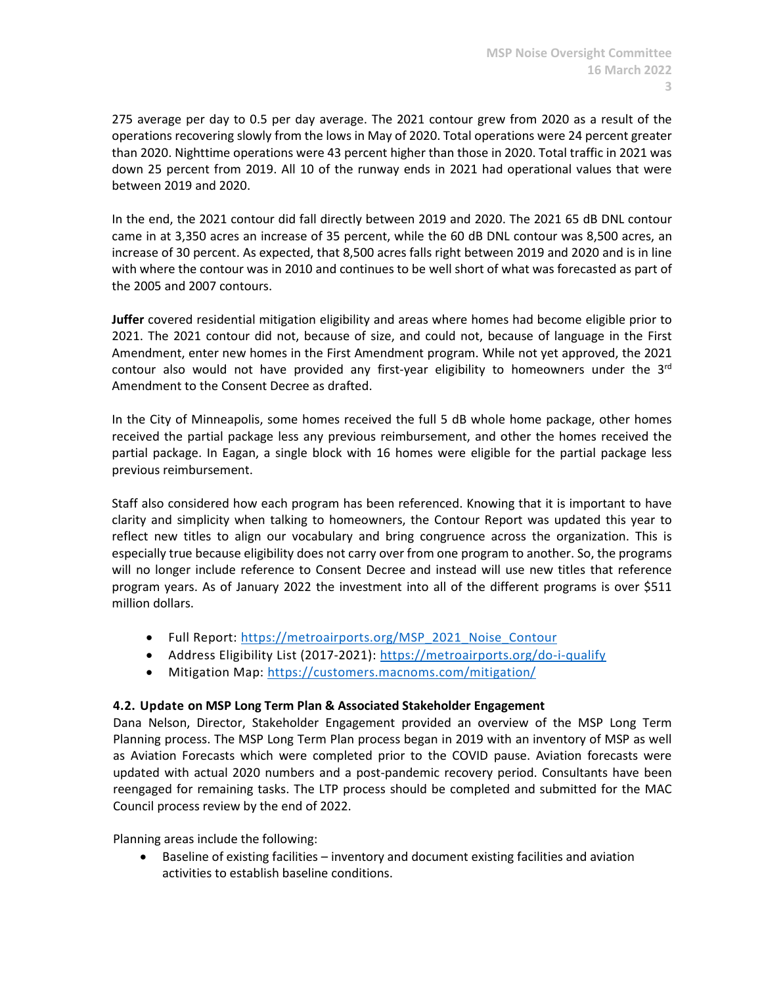275 average per day to 0.5 per day average. The 2021 contour grew from 2020 as a result of the operations recovering slowly from the lows in May of 2020. Total operations were 24 percent greater than 2020. Nighttime operations were 43 percent higher than those in 2020. Total traffic in 2021 was down 25 percent from 2019. All 10 of the runway ends in 2021 had operational values that were between 2019 and 2020.

In the end, the 2021 contour did fall directly between 2019 and 2020. The 2021 65 dB DNL contour came in at 3,350 acres an increase of 35 percent, while the 60 dB DNL contour was 8,500 acres, an increase of 30 percent. As expected, that 8,500 acres falls right between 2019 and 2020 and is in line with where the contour was in 2010 and continues to be well short of what was forecasted as part of the 2005 and 2007 contours.

**Juffer** covered residential mitigation eligibility and areas where homes had become eligible prior to 2021. The 2021 contour did not, because of size, and could not, because of language in the First Amendment, enter new homes in the First Amendment program. While not yet approved, the 2021 contour also would not have provided any first-year eligibility to homeowners under the  $3<sup>rd</sup>$ Amendment to the Consent Decree as drafted.

In the City of Minneapolis, some homes received the full 5 dB whole home package, other homes received the partial package less any previous reimbursement, and other the homes received the partial package. In Eagan, a single block with 16 homes were eligible for the partial package less previous reimbursement.

Staff also considered how each program has been referenced. Knowing that it is important to have clarity and simplicity when talking to homeowners, the Contour Report was updated this year to reflect new titles to align our vocabulary and bring congruence across the organization. This is especially true because eligibility does not carry over from one program to another. So, the programs will no longer include reference to Consent Decree and instead will use new titles that reference program years. As of January 2022 the investment into all of the different programs is over \$511 million dollars.

- Full Report: [https://metroairports.org/MSP\\_2021\\_Noise\\_Contour](https://metroairports.org/MSP_2021_Noise_Contour)
- Address Eligibility List (2017-2021): <https://metroairports.org/do-i-qualify>
- Mitigation Map: <https://customers.macnoms.com/mitigation/>

### **4.2. Update on MSP Long Term Plan & Associated Stakeholder Engagement**

Dana Nelson, Director, Stakeholder Engagement provided an overview of the MSP Long Term Planning process. The MSP Long Term Plan process began in 2019 with an inventory of MSP as well as Aviation Forecasts which were completed prior to the COVID pause. Aviation forecasts were updated with actual 2020 numbers and a post-pandemic recovery period. Consultants have been reengaged for remaining tasks. The LTP process should be completed and submitted for the MAC Council process review by the end of 2022.

Planning areas include the following:

• Baseline of existing facilities – inventory and document existing facilities and aviation activities to establish baseline conditions.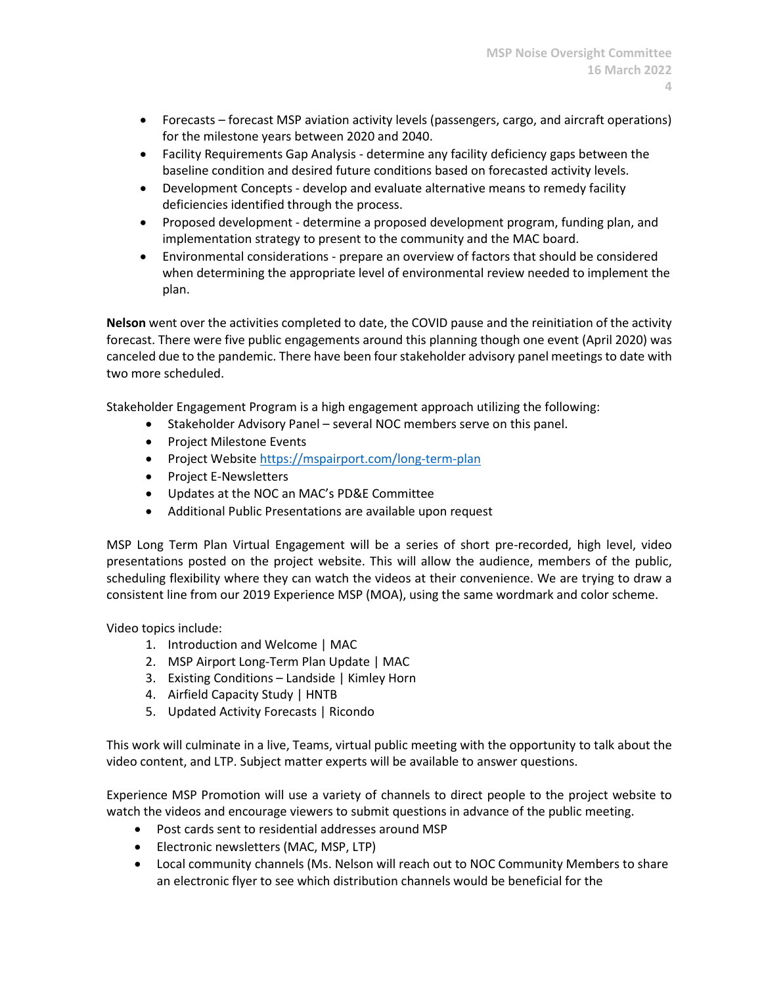- Forecasts forecast MSP aviation activity levels (passengers, cargo, and aircraft operations) for the milestone years between 2020 and 2040.
- Facility Requirements Gap Analysis determine any facility deficiency gaps between the baseline condition and desired future conditions based on forecasted activity levels.
- Development Concepts develop and evaluate alternative means to remedy facility deficiencies identified through the process.
- Proposed development determine a proposed development program, funding plan, and implementation strategy to present to the community and the MAC board.
- Environmental considerations prepare an overview of factors that should be considered when determining the appropriate level of environmental review needed to implement the plan.

**Nelson** went over the activities completed to date, the COVID pause and the reinitiation of the activity forecast. There were five public engagements around this planning though one event (April 2020) was canceled due to the pandemic. There have been four stakeholder advisory panel meetings to date with two more scheduled.

Stakeholder Engagement Program is a high engagement approach utilizing the following:

- Stakeholder Advisory Panel several NOC members serve on this panel.
- Project Milestone Events
- Project Website<https://mspairport.com/long-term-plan>
- Project E-Newsletters
- Updates at the NOC an MAC's PD&E Committee
- Additional Public Presentations are available upon request

MSP Long Term Plan Virtual Engagement will be a series of short pre-recorded, high level, video presentations posted on the project website. This will allow the audience, members of the public, scheduling flexibility where they can watch the videos at their convenience. We are trying to draw a consistent line from our 2019 Experience MSP (MOA), using the same wordmark and color scheme.

Video topics include:

- 1. Introduction and Welcome | MAC
- 2. MSP Airport Long-Term Plan Update | MAC
- 3. Existing Conditions Landside | Kimley Horn
- 4. Airfield Capacity Study | HNTB
- 5. Updated Activity Forecasts | Ricondo

This work will culminate in a live, Teams, virtual public meeting with the opportunity to talk about the video content, and LTP. Subject matter experts will be available to answer questions.

Experience MSP Promotion will use a variety of channels to direct people to the project website to watch the videos and encourage viewers to submit questions in advance of the public meeting.

- Post cards sent to residential addresses around MSP
- Electronic newsletters (MAC, MSP, LTP)
- Local community channels (Ms. Nelson will reach out to NOC Community Members to share an electronic flyer to see which distribution channels would be beneficial for the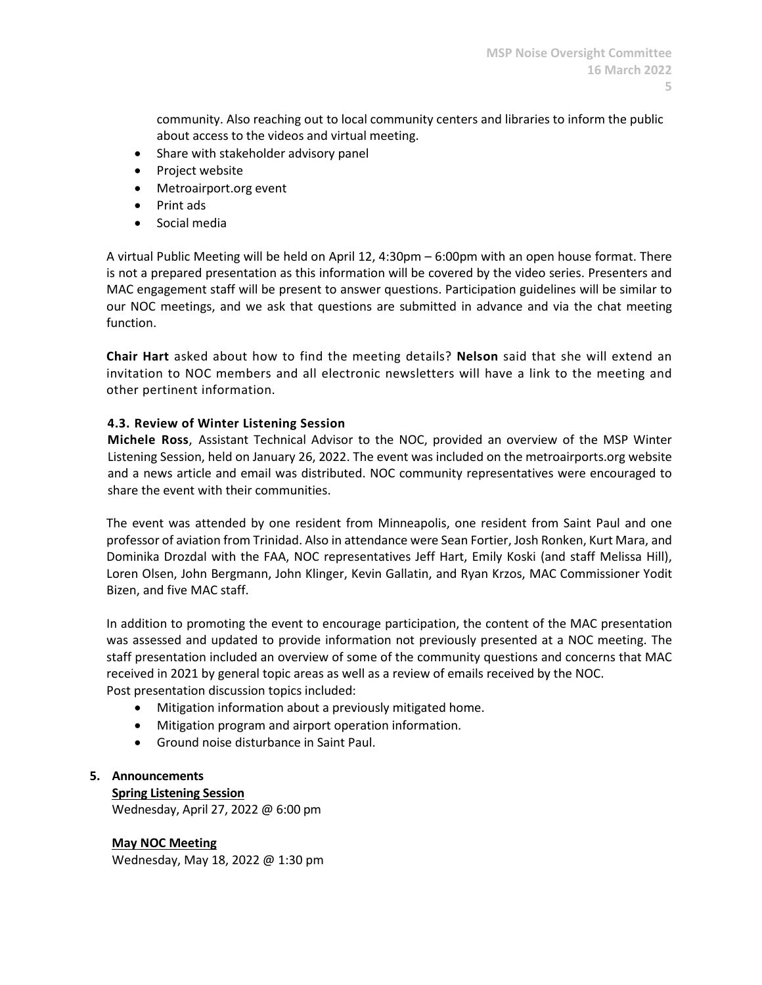community. Also reaching out to local community centers and libraries to inform the public about access to the videos and virtual meeting.

- Share with stakeholder advisory panel
- Project website
- Metroairport.org event
- Print ads
- Social media

A virtual Public Meeting will be held on April 12, 4:30pm – 6:00pm with an open house format. There is not a prepared presentation as this information will be covered by the video series. Presenters and MAC engagement staff will be present to answer questions. Participation guidelines will be similar to our NOC meetings, and we ask that questions are submitted in advance and via the chat meeting function.

**Chair Hart** asked about how to find the meeting details? **Nelson** said that she will extend an invitation to NOC members and all electronic newsletters will have a link to the meeting and other pertinent information.

## **4.3. Review of Winter Listening Session**

**Michele Ross**, Assistant Technical Advisor to the NOC, provided an overview of the MSP Winter Listening Session, held on January 26, 2022. The event was included on the metroairports.org website and a news article and email was distributed. NOC community representatives were encouraged to share the event with their communities.

The event was attended by one resident from Minneapolis, one resident from Saint Paul and one professor of aviation from Trinidad. Also in attendance were Sean Fortier, Josh Ronken, Kurt Mara, and Dominika Drozdal with the FAA, NOC representatives Jeff Hart, Emily Koski (and staff Melissa Hill), Loren Olsen, John Bergmann, John Klinger, Kevin Gallatin, and Ryan Krzos, MAC Commissioner Yodit Bizen, and five MAC staff.

In addition to promoting the event to encourage participation, the content of the MAC presentation was assessed and updated to provide information not previously presented at a NOC meeting. The staff presentation included an overview of some of the community questions and concerns that MAC received in 2021 by general topic areas as well as a review of emails received by the NOC. Post presentation discussion topics included:

- Mitigation information about a previously mitigated home.
- Mitigation program and airport operation information.
- Ground noise disturbance in Saint Paul.

### **5. Announcements**

**Spring Listening Session** Wednesday, April 27, 2022 @ 6:00 pm

**May NOC Meeting** Wednesday, May 18, 2022 @ 1:30 pm